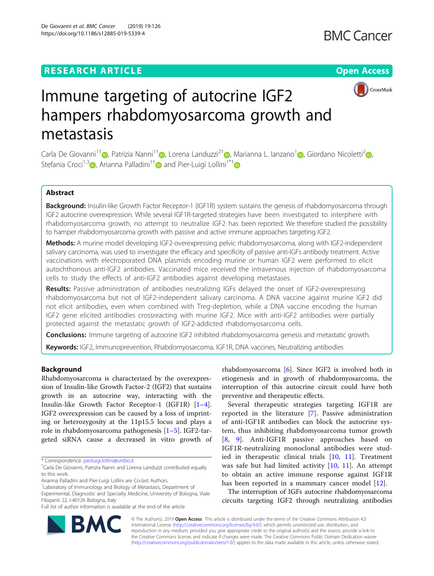# **RESEARCH ARTICLE Example 2014 12:30 The Contract of Contract ACCESS**



# Immune targeting of autocrine IGF2 hampers rhabdomyosarcoma growth and metastasis

Carla De Giovanni<sup>1[†](https://orcid.org/0000-0003-4388-4988)</sup> [,](https://orcid.org/0000-0001-7050-7833) Patrizia Nanni<sup>1†</sup> , Lorena Landuzzi<sup>2†</sup> , Marianna L. Ianzano<sup>1</sup> , Giordano Nicoletti<sup>2</sup> , Stefania Croci<sup>1,3</sup> <sub>(a)</sub> Arianna Palladini<sup>1[†](https://orcid.org/0000-0003-1702-4108)</sup> and Pier-Luigi Lollini<sup>1\*†</sup> and Pier-Luigi Lollini<sup>1\*†</sup>

# Abstract

Background: Insulin-like Growth Factor Receptor-1 (IGF1R) system sustains the genesis of rhabdomyosarcoma through IGF2 autocrine overexpression. While several IGF1R-targeted strategies have been investigated to interphere with rhabdomyosarcoma growth, no attempt to neutralize IGF2 has been reported. We therefore studied the possibility to hamper rhabdomyosarcoma growth with passive and active immune approaches targeting IGF2.

Methods: A murine model developing IGF2-overexpressing pelvic rhabdomyosarcoma, along with IGF2-independent salivary carcinoma, was used to investigate the efficacy and specificity of passive anti-IGFs antibody treatment. Active vaccinations with electroporated DNA plasmids encoding murine or human IGF2 were performed to elicit autochthonous anti-IGF2 antibodies. Vaccinated mice received the intravenous injection of rhabdomyosarcoma cells to study the effects of anti-IGF2 antibodies against developing metastases.

Results: Passive administration of antibodies neutralizing IGFs delayed the onset of IGF2-overexpressing rhabdomyosarcoma but not of IGF2-independent salivary carcinoma. A DNA vaccine against murine IGF2 did not elicit antibodies, even when combined with Treg-depletion, while a DNA vaccine encoding the human IGF2 gene elicited antibodies crossreacting with murine IGF2. Mice with anti-IGF2 antibodies were partially protected against the metastatic growth of IGF2-addicted rhabdomyosarcoma cells.

**Conclusions:** Immune targeting of autocrine IGF2 inhibited rhabdomyosarcoma genesis and metastatic growth.

**Keywords:** IGF2, Immunoprevention, Rhabdomyosarcoma, IGF1R, DNA vaccines, Neutralizing antibodies

# Background

Rhabdomyosarcoma is characterized by the overexpression of Insulin-like Growth Factor-2 (IGF2) that sustains growth in an autocrine way, interacting with the Insulin-like Growth Factor Receptor-1 (IGF1R) [\[1](#page-6-0)–[4](#page-6-0)]. IGF2 overexpression can be caused by a loss of imprinting or heterozygosity at the 11p15.5 locus and plays a role in rhabdomyosarcoma pathogenesis [[1](#page-6-0)–[5\]](#page-6-0). IGF2-targeted siRNA cause a decreased in vitro growth of

Arianna Palladini and Pier-Luigi Lollini are Co-last Authors.

1 Laboratory of Immunology and Biology of Metastasis, Department of Experimental, Diagnostic and Specialty Medicine, University of Bologna, Viale Filopanti 22, I-40126 Bologna, Italy

Full list of author information is available at the end of the article

rhabdomyosarcoma [[6\]](#page-6-0). Since IGF2 is involved both in etiogenesis and in growth of rhabdomyosarcoma, the interruption of this autocrine circuit could have both preventive and therapeutic effects.

Several therapeutic strategies targeting IGF1R are reported in the literature [\[7](#page-6-0)]. Passive administration of anti-IGF1R antibodies can block the autocrine system, thus inhibiting rhabdomyosarcoma tumor growth [[8,](#page-6-0) [9](#page-6-0)]. Anti-IGF1R passive approaches based on IGF1R-neutralizing monoclonal antibodies were studied in therapeutic clinical trials [[10](#page-6-0), [11](#page-6-0)]. Treatment was safe but had limited activity [[10](#page-6-0), [11\]](#page-6-0). An attempt to obtain an active immune response against IGF1R has been reported in a mammary cancer model [\[12](#page-6-0)].

The interruption of IGFs autocrine rhabdomyosarcoma circuits targeting IGF2 through neutralizing antibodies



© The Author(s). 2019 Open Access This article is distributed under the terms of the Creative Commons Attribution 4.0 International License [\(http://creativecommons.org/licenses/by/4.0/](http://creativecommons.org/licenses/by/4.0/)), which permits unrestricted use, distribution, and reproduction in any medium, provided you give appropriate credit to the original author(s) and the source, provide a link to the Creative Commons license, and indicate if changes were made. The Creative Commons Public Domain Dedication waiver [\(http://creativecommons.org/publicdomain/zero/1.0/](http://creativecommons.org/publicdomain/zero/1.0/)) applies to the data made available in this article, unless otherwise stated.

<sup>\*</sup> Correspondence: [pierluigi.lollini@unibo.it](mailto:pierluigi.lollini@unibo.it) †

Carla De Giovanni, Patrizia Nanni and Lorena Landuzzi contributed equally to this work.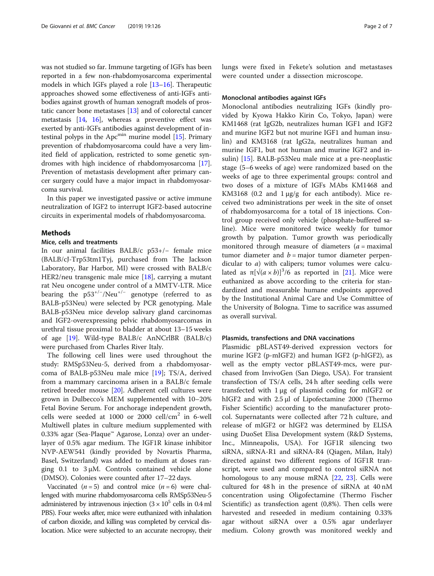was not studied so far. Immune targeting of IGFs has been reported in a few non-rhabdomyosarcoma experimental models in which IGFs played a role [\[13](#page-6-0)–[16\]](#page-6-0). Therapeutic approaches showed some effectiveness of anti-IGFs antibodies against growth of human xenograft models of prostatic cancer bone metastases [[13](#page-6-0)] and of colorectal cancer metastasis [[14](#page-6-0), [16\]](#page-6-0), whereas a preventive effect was exerted by anti-IGFs antibodies against development of intestinal polyps in the  $Apc<sup>min</sup>$  murine model [\[15](#page-6-0)]. Primary prevention of rhabdomyosarcoma could have a very limited field of application, restricted to some genetic syndromes with high incidence of rhabdomyosarcoma [[17](#page-6-0)]. Prevention of metastasis development after primary cancer surgery could have a major impact in rhabdomyosarcoma survival.

In this paper we investigated passive or active immune neutralization of IGF2 to interrupt IGF2-based autocrine circuits in experimental models of rhabdomyosarcoma.

# **Methods**

# Mice, cells and treatments

In our animal facilities BALB/c p53+/− female mice (BALB/cJ-Trp53tm1Tyj, purchased from The Jackson Laboratory, Bar Harbor, MI) were crossed with BALB/c HER2/neu transgenic male mice [[18](#page-6-0)], carrying a mutant rat Neu oncogene under control of a MMTV-LTR. Mice bearing the p53<sup>+/-</sup>/Neu<sup>+/-</sup> genotype (referred to as BALB-p53Neu) were selected by PCR genotyping. Male BALB-p53Neu mice develop salivary gland carcinomas and IGF2-overexpressing pelvic rhabdomyosarcomas in urethral tissue proximal to bladder at about 13–15 weeks of age [[19\]](#page-6-0). Wild-type BALB/c AnNCrlBR (BALB/c) were purchased from Charles River Italy.

The following cell lines were used throughout the study: RMSp53Neu-5, derived from a rhabdomyosarcoma of BALB-p53Neu male mice [[19\]](#page-6-0); TS/A, derived from a mammary carcinoma arisen in a BALB/c female retired breeder mouse [[20\]](#page-6-0). Adherent cell cultures were grown in Dulbecco's MEM supplemented with 10–20% Fetal Bovine Serum. For anchorage independent growth, cells were seeded at 1000 or 2000  $\text{cell/cm}^2$  in 6-well Multiwell plates in culture medium supplemented with 0.33% agar (Sea-Plaque™ Agarose, Lonza) over an underlayer of 0.5% agar medium. The IGF1R kinase inhibitor NVP-AEW541 (kindly provided by Novartis Pharma, Basel, Switzerland) was added to medium at doses ranging 0.1 to 3 μM. Controls contained vehicle alone (DMSO). Colonies were counted after 17–22 days.

Vaccinated  $(n=5)$  and control mice  $(n=6)$  were challenged with murine rhabdomyosarcoma cells RMSp53Neu-5 administered by intravenous injection  $(3 \times 10^5 \text{ cells in } 0.4 \text{ ml})$ PBS). Four weeks after, mice were euthanized with inhalation of carbon dioxide, and killing was completed by cervical dislocation. Mice were subjected to an accurate necropsy, their lungs were fixed in Fekete's solution and metastases were counted under a dissection microscope.

# Monoclonal antibodies against IGFs

Monoclonal antibodies neutralizing IGFs (kindly provided by Kyowa Hakko Kirin Co, Tokyo, Japan) were KM1468 (rat IgG2b, neutralizes human IGF1 and IGF2 and murine IGF2 but not murine IGF1 and human insulin) and KM3168 (rat IgG2a, neutralizes human and murine IGF1, but not human and murine IGF2 and insulin) [\[15\]](#page-6-0). BALB-p53Neu male mice at a pre-neoplastic stage (5–6 weeks of age) were randomized based on the weeks of age to three experimental groups: control and two doses of a mixture of IGFs MAbs KM1468 and KM3168 (0.2 and 1 μg/g for each antibody). Mice received two administrations per week in the site of onset of rhabdomyosarcoma for a total of 18 injections. Control group received only vehicle (phosphate-buffered saline). Mice were monitored twice weekly for tumor growth by palpation. Tumor growth was periodically monitored through measure of diameters  $(a =$  maximal tumor diameter and  $b =$  major tumor diameter perpendicular to *a*) with calipers; tumor volumes were calculated as  $\pi[\sqrt{(a \times b)}]^3/6$  as reported in [\[21](#page-6-0)]. Mice were euthanized as above according to the criteria for standardized and measurable humane endpoints approved by the Institutional Animal Care and Use Committee of the University of Bologna. Time to sacrifice was assumed as overall survival.

# Plasmids, transfections and DNA vaccinations

Plasmidic pBLAST49-derived expression vectors for murine IGF2 (p-mIGF2) and human IGF2 (p-hIGF2), as well as the empty vector pBLAST49-mcs, were purchased from InvivoGen (San Diego, USA). For transient transfection of TS/A cells, 24 h after seeding cells were transfected with 1 μg of plasmid coding for mIGF2 or hIGF2 and with 2.5 μl of Lipofectamine 2000 (Thermo Fisher Scientific) according to the manufacturer protocol. Supernatants were collected after 72 h culture, and release of mIGF2 or hIGF2 was determined by ELISA using DuoSet Elisa Development system (R&D Systems, Inc., Minneapolis, USA). For IGF1R silencing two siRNA, siRNA-R1 and siRNA-R4 (Qiagen, Milan, Italy) directed against two different regions of IGF1R transcript, were used and compared to control siRNA not homologous to any mouse mRNA [[22,](#page-6-0) [23\]](#page-6-0). Cells were cultured for 48 h in the presence of siRNA at 40 nM concentration using Oligofectamine (Thermo Fischer Scientific) as transfection agent (0,8%). Then cells were harvested and reseeded in medium containing 0.33% agar without siRNA over a 0.5% agar underlayer medium. Colony growth was monitored weekly and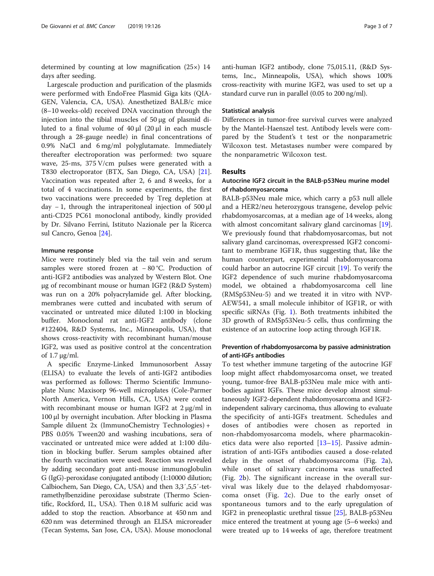determined by counting at low magnification (25×) 14 days after seeding.

Largescale production and purification of the plasmids were performed with EndoFree Plasmid Giga kits (QIA-GEN, Valencia, CA, USA). Anesthetized BALB/c mice (8–10 weeks-old) received DNA vaccination through the injection into the tibial muscles of 50 μg of plasmid diluted to a final volume of 40 μl (20 μl in each muscle through a 28-gauge needle) in final concentrations of 0.9% NaCl and 6 mg/ml polyglutamate. Immediately thereafter electroporation was performed: two square wave, 25-ms, 375 V/cm pulses were generated with a T830 electroporator (BTX, San Diego, CA, USA) [\[21](#page-6-0)]. Vaccination was repeated after 2, 6 and 8 weeks, for a total of 4 vaccinations. In some experiments, the first two vaccinations were preceeded by Treg depletion at day − 1, through the intraperitoneal injection of 500 μl anti-CD25 PC61 monoclonal antibody, kindly provided by Dr. Silvano Ferrini, Istituto Nazionale per la Ricerca sul Cancro, Genoa [[24\]](#page-6-0).

## Immune response

Mice were routinely bled via the tail vein and serum samples were stored frozen at − 80 °C. Production of anti-IGF2 antibodies was analyzed by Western Blot. One μg of recombinant mouse or human IGF2 (R&D System) was run on a 20% polyacrylamide gel. After blocking, membranes were cutted and incubated with serum of vaccinated or untreated mice diluted 1:100 in blocking buffer. Monoclonal rat anti-IGF2 antibody (clone #122404, R&D Systems, Inc., Minneapolis, USA), that shows cross-reactivity with recombinant human/mouse IGF2, was used as positive control at the concentration of 1.7 μg/ml.

A specific Enzyme-Linked Immunosorbent Assay (ELISA) to evaluate the levels of anti-IGF2 antibodies was performed as follows: Thermo Scientific Immunoplate Nunc Maxisorp 96-well microplates (Cole-Parmer North America, Vernon Hills, CA, USA) were coated with recombinant mouse or human IGF2 at 2 μg/ml in 100 μl by overnight incubation. After blocking in Plasma Sample diluent 2x (ImmunoChemistry Technologies) + PBS 0.05% Tween20 and washing incubations, sera of vaccinated or untreated mice were added at 1:100 dilution in blocking buffer. Serum samples obtained after the fourth vaccination were used. Reaction was revealed by adding secondary goat anti-mouse immunoglobulin G (IgG)-peroxidase conjugated antibody (1:10000 dilution; Calbiochem, San Diego, CA, USA) and then 3,3′,5,5′-tetramethylbenzidine peroxidase substrate (Thermo Scientific, Rockford, IL, USA). Then 0.18 M sulfuric acid was added to stop the reaction. Absorbance at 450 nm and 620 nm was determined through an ELISA microreader (Tecan Systems, San Jose, CA, USA). Mouse monoclonal

anti-human IGF2 antibody, clone 75,015.11, (R&D Systems, Inc., Minneapolis, USA), which shows 100% cross-reactivity with murine IGF2, was used to set up a standard curve run in parallel (0.05 to 200 ng/ml).

# Statistical analysis

Differences in tumor-free survival curves were analyzed by the Mantel-Haenszel test. Antibody levels were compared by the Student's t test or the nonparametric Wilcoxon test. Metastases number were compared by the nonparametric Wilcoxon test.

# Results

# Autocrine IGF2 circuit in the BALB-p53Neu murine model of rhabdomyosarcoma

BALB-p53Neu male mice, which carry a p53 null allele and a HER2/neu heterozygous transgene, develop pelvic rhabdomyosarcomas, at a median age of 14 weeks, along with almost concomitant salivary gland carcinomas [\[19](#page-6-0)]. We previously found that rhabdomyosarcomas, but not salivary gland carcinomas, overexpressed IGF2 concomitant to membrane IGF1R, thus suggesting that, like the human counterpart, experimental rhabdomyosarcoma could harbor an autocrine IGF circuit [[19\]](#page-6-0). To verify the IGF2 dependence of such murine rhabdomyosarcoma model, we obtained a rhabdomyosarcoma cell line (RMSp53Neu-5) and we treated it in vitro with NVP-AEW541, a small molecule inhibitor of IGF1R, or with specific siRNAs (Fig. [1](#page-3-0)). Both treatments inhibited the 3D growth of RMSp53Neu-5 cells, thus confirming the existence of an autocrine loop acting through IGF1R.

# Prevention of rhabdomyosarcoma by passive administration of anti-IGFs antibodies

To test whether immune targeting of the autocrine IGF loop might affect rhabdomyosarcoma onset, we treated young, tumor-free BALB-p53Neu male mice with antibodies against IGFs. These mice develop almost simultaneously IGF2-dependent rhabdomyosarcoma and IGF2 independent salivary carcinoma, thus allowing to evaluate the specificity of anti-IGFs treatment. Schedules and doses of antibodies were chosen as reported in non-rhabdomyosarcoma models, where pharmacokinetics data were also reported  $[13-15]$  $[13-15]$  $[13-15]$  $[13-15]$  $[13-15]$ . Passive administration of anti-IGFs antibodies caused a dose-related delay in the onset of rhabdomyosarcoma (Fig. [2a](#page-3-0)), while onset of salivary carcinoma was unaffected (Fig. [2](#page-3-0)b). The significant increase in the overall survival was likely due to the delayed rhabdomyosarcoma onset (Fig. [2](#page-3-0)c). Due to the early onset of spontaneous tumors and to the early upregulation of IGF2 in preneoplastic urethral tissue [\[25\]](#page-6-0), BALB-p53Neu mice entered the treatment at young age (5–6 weeks) and were treated up to 14 weeks of age, therefore treatment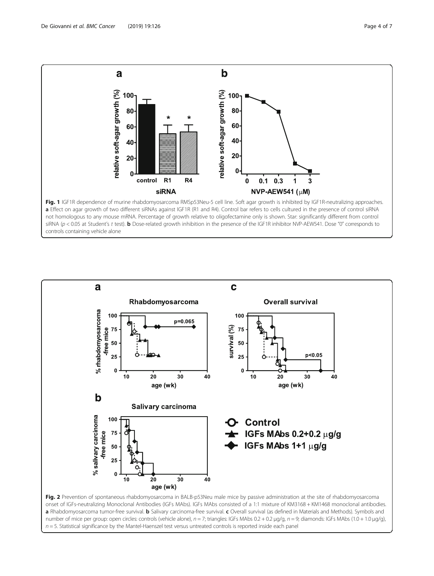<span id="page-3-0"></span>

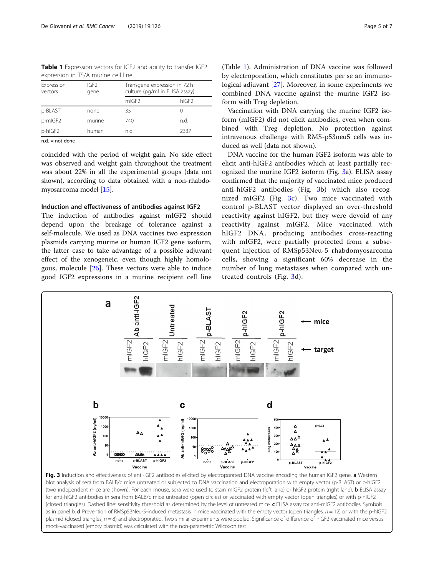Table 1 Expression vectors for IGF2 and ability to transfer IGF2 expression in TS/A murine cell line

| Expression<br>vectors | IGF <sub>2</sub><br>gene | Transgene expression in 72 h<br>culture (pg/ml in ELISA assay) |                   |
|-----------------------|--------------------------|----------------------------------------------------------------|-------------------|
|                       |                          | mIGF <sub>2</sub>                                              | hIGF <sub>2</sub> |
| p-BLAST               | none                     | 35                                                             | $\left( \right)$  |
| p-mIGF2               | murine                   | 740                                                            | n.d.              |
| p-hIGF2               | human                    | n.d.                                                           | 2337              |
| and a standard and    |                          |                                                                |                   |

 $n.d. = not done$ 

coincided with the period of weight gain. No side effect was observed and weight gain throughout the treatment was about 22% in all the experimental groups (data not shown), according to data obtained with a non-rhabdomyosarcoma model [[15](#page-6-0)].

# Induction and effectiveness of antibodies against IGF2

The induction of antibodies against mIGF2 should depend upon the breakage of tolerance against a self-molecule. We used as DNA vaccines two expression plasmids carrying murine or human IGF2 gene isoform, the latter case to take advantage of a possible adjuvant effect of the xenogeneic, even though highly homologous, molecule [\[26](#page-6-0)]. These vectors were able to induce good IGF2 expressions in a murine recipient cell line

Vaccination with DNA carrying the murine IGF2 isoform (mIGF2) did not elicit antibodies, even when combined with Treg depletion. No protection against intravenous challenge with RMS-p53neu5 cells was induced as well (data not shown).

DNA vaccine for the human IGF2 isoform was able to elicit anti-hIGF2 antibodies which at least partially recognized the murine IGF2 isoform (Fig. 3a). ELISA assay confirmed that the majority of vaccinated mice produced anti-hIGF2 antibodies (Fig. 3b) which also recognized mIGF2 (Fig. 3c). Two mice vaccinated with control p-BLAST vector displayed an over-threshold reactivity against hIGF2, but they were devoid of any reactivity against mIGF2. Mice vaccinated with hIGF2 DNA, producing antibodies cross-reacting with mIGF2, were partially protected from a subsequent injection of RMSp53Neu-5 rhabdomyosarcoma cells, showing a significant 60% decrease in the number of lung metastases when compared with untreated controls (Fig. 3d).



blot analysis of sera from BALB/c mice untreated or subjected to DNA vaccination and electroporation with empty vector (p-BLAST) or p-hIGF2 (two independent mice are shown). For each mouse, sera were used to stain mIGF2 protein (left lane) or hIGF2 protein (right lane). **b** ELISA assay for anti-hIGF2 antibodies in sera from BALB/c mice untreated (open circles) or vaccinated with empty vector (open triangles) or with p-hIGF2 (closed triangles). Dashed line: sensitivity threshold as determined by the level of untreated mice. c ELISA assay for anti-mIGF2 antibodies. Symbols as in panel b. d Prevention of RMSp53Neu-5-induced metastasis in mice vaccinated with the empty vector (open triangles,  $n = 12$ ) or with the p-hIGF2 plasmid (closed triangles,  $n = 8$ ) and electroporated. Two similar experiments were pooled. Significance of difference of hIGF2-vaccinated mice versus mock-vaccinated (empty plasmid) was calculated with the non-parametric Wilcoxon test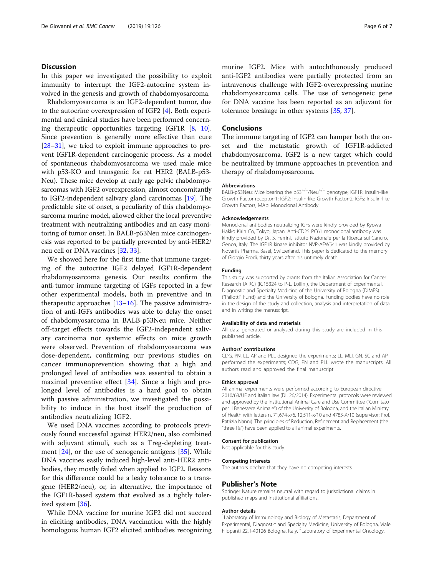# **Discussion**

In this paper we investigated the possibility to exploit immunity to interrupt the IGF2-autocrine system involved in the genesis and growth of rhabdomyosarcoma.

Rhabdomyosarcoma is an IGF2-dependent tumor, due to the autocrine overexpression of IGF2 [\[4](#page-6-0)]. Both experimental and clinical studies have been performed concerning therapeutic opportunities targeting IGF1R [[8,](#page-6-0) [10](#page-6-0)]. Since prevention is generally more effective than cure [[28](#page-6-0)–[31\]](#page-6-0), we tried to exploit immune approaches to prevent IGF1R-dependent carcinogenic process. As a model of spontaneous rhabdomyosarcoma we used male mice with p53-KO and transgenic for rat HER2 (BALB-p53- Neu). These mice develop at early age pelvic rhabdomyosarcomas with IGF2 overexpression, almost concomitantly to IGF2-independent salivary gland carcinomas [\[19\]](#page-6-0). The predictable site of onset, a peculiarity of this rhabdomyosarcoma murine model, allowed either the local preventive treatment with neutralizing antibodies and an easy monitoring of tumor onset. In BALB-p53Neu mice carcinogenesis was reported to be partially prevented by anti-HER2/ neu cell or DNA vaccines [\[32,](#page-6-0) [33](#page-6-0)].

We showed here for the first time that immune targeting of the autocrine IGF2 delayed IGF1R-dependent rhabdomyosarcoma genesis. Our results confirm the anti-tumor immune targeting of IGFs reported in a few other experimental models, both in preventive and in therapeutic approaches  $[13-16]$  $[13-16]$  $[13-16]$ . The passive administration of anti-IGFs antibodies was able to delay the onset of rhabdomyosarcoma in BALB-p53Neu mice. Neither off-target effects towards the IGF2-independent salivary carcinoma nor systemic effects on mice growth were observed. Prevention of rhabdomyosarcoma was dose-dependent, confirming our previous studies on cancer immunoprevention showing that a high and prolonged level of antibodies was essential to obtain a maximal preventive effect [[34\]](#page-6-0). Since a high and prolonged level of antibodies is a hard goal to obtain with passive administration, we investigated the possibility to induce in the host itself the production of antibodies neutralizing IGF2.

We used DNA vaccines according to protocols previously found successful against HER2/neu, also combined with adjuvant stimuli, such as a Treg-depleting treatment [\[24](#page-6-0)], or the use of xenogeneic antigens [\[35](#page-6-0)]. While DNA vaccines easily induced high-level anti-HER2 antibodies, they mostly failed when applied to IGF2. Reasons for this difference could be a leaky tolerance to a transgene (HER2/neu), or, in alternative, the importance of the IGF1R-based system that evolved as a tightly tolerized system [[36\]](#page-6-0).

While DNA vaccine for murine IGF2 did not succeed in eliciting antibodies, DNA vaccination with the highly homologous human IGF2 elicited antibodies recognizing murine IGF2. Mice with autochthonously produced anti-IGF2 antibodies were partially protected from an intravenous challenge with IGF2-overexpressing murine rhabdomyosarcoma cells. The use of xenogeneic gene for DNA vaccine has been reported as an adjuvant for tolerance breakage in other systems [\[35](#page-6-0), [37\]](#page-6-0).

# **Conclusions**

The immune targeting of IGF2 can hamper both the onset and the metastatic growth of IGF1R-addicted rhabdomyosarcoma. IGF2 is a new target which could be neutralized by immune approaches in prevention and therapy of rhabdomyosarcoma.

#### Abbreviations

BALB-p53Neu: Mice bearing the p53<sup>+/-</sup>/Neu<sup>+/-</sup> genotype; IGF1R: Insulin-like Growth Factor receptor-1; IGF2: Insulin-like Growth Factor-2; IGFs: Insulin-like Growth Factors; MAb: Monoclonal Antibody

## Acknowledgements

Monoclonal antibodies neutralizing IGFs were kindly provided by Kyowa Hakko Kirin Co, Tokyo, Japan. Anti-CD25 PC61 monoclonal antibody was kindly provided by Dr. S. Ferrini, Istituto Nazionale per la Ricerca sul Cancro, Genoa, Italy. The IGF1R kinase inhibitor NVP-AEW541 was kindly provided by Novartis Pharma, Basel, Switzerland. This paper is dedicated to the memory of Giorgio Prodi, thirty years after his untimely death.

## Funding

This study was supported by grants from the Italian Association for Cancer Research (AIRC) (IG15324 to P-L. Lollini), the Department of Experimental, Diagnostic and Specialty Medicine of the University of Bologna (DIMES) ("Pallotti" Fund) and the University of Bologna. Funding bodies have no role in the design of the study and collection, analysis and interpretation of data and in writing the manuscript.

#### Availability of data and materials

All data generated or analysed during this study are included in this published article.

#### Authors' contributions

CDG, PN, LL, AP and PLL designed the experiments; LL, MLI, GN, SC and AP performed the experiments; CDG, PN and PLL wrote the manuscripts. All authors read and approved the final manuscript.

#### Ethics approval

All animal experiments were performed according to European directive 2010/63/UE and Italian law (DL 26/2014). Experimental protocols were reviewed and approved by the Institutional Animal Care and Use Committee ("Comitato per il Benessere Animale") of the University of Bologna, and the Italian Ministry of Health with letters n. 71,674-x/6, 12,511-x/10 and 4783-X/10 (supervisor: Prof. Patrizia Nanni). The principles of Reduction, Refinement and Replacement (the "three Rs") have been applied to all animal experiments.

#### Consent for publication

Not applicable for this study.

#### Competing interests

The authors declare that they have no competing interests.

### Publisher's Note

Springer Nature remains neutral with regard to jurisdictional claims in published maps and institutional affiliations.

#### Author details

<sup>1</sup> Laboratory of Immunology and Biology of Metastasis, Department of Experimental, Diagnostic and Specialty Medicine, University of Bologna, Viale Filopanti 22, I-40126 Bologna, Italy. <sup>2</sup>Laboratory of Experimental Oncology